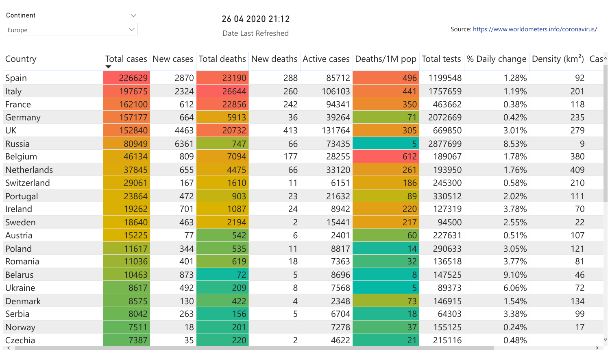| Continent | 26 04 2020 21:12    |
|-----------|---------------------|
| Europe    | Date Last Refreshed |

## 26 04 2020 21:12

Date Last Refreshed

| Country        |        |      |       |                |        | Total cases New cases Total deaths New deaths Active cases Deaths/1M pop Total tests % Daily change Density (km <sup>2</sup> ) Cas^ |         |       |     |  |
|----------------|--------|------|-------|----------------|--------|-------------------------------------------------------------------------------------------------------------------------------------|---------|-------|-----|--|
| Spain          | 226629 | 2870 | 23190 | 288            | 85712  | 496                                                                                                                                 | 1199548 | 1.28% | 92  |  |
| <b>Italy</b>   | 197675 | 2324 | 26644 | 260            | 106103 | 441                                                                                                                                 | 1757659 | 1.19% | 201 |  |
| France         | 162100 | 612  | 22856 | 242            | 94341  | 350                                                                                                                                 | 463662  | 0.38% | 118 |  |
| Germany        | 157177 | 664  | 5913  | 36             | 39264  | 71                                                                                                                                  | 2072669 | 0.42% | 235 |  |
| <b>UK</b>      | 152840 | 4463 | 20732 | 413            | 131764 | 305                                                                                                                                 | 669850  | 3.01% | 279 |  |
| Russia         | 80949  | 6361 | 747   | 66             | 73435  |                                                                                                                                     | 2877699 | 8.53% | 9   |  |
| Belgium        | 46134  | 809  | 7094  | 177            | 28255  | 612                                                                                                                                 | 189067  | 1.78% | 380 |  |
| Netherlands    | 37845  | 655  | 4475  | 66             | 33120  | 261                                                                                                                                 | 193950  | 1.76% | 409 |  |
| Switzerland    | 29061  | 167  | 1610  | 11             | 6151   | 186                                                                                                                                 | 245300  | 0.58% | 210 |  |
| Portugal       | 23864  | 472  | 903   | 23             | 21632  | 89                                                                                                                                  | 330512  | 2.02% | 111 |  |
| Ireland        | 19262  | 701  | 1087  | 24             | 8942   | 220                                                                                                                                 | 127319  | 3.78% | 70  |  |
| Sweden         | 18640  | 463  | 2194  | $\overline{2}$ | 15441  | 217                                                                                                                                 | 94500   | 2.55% | 22  |  |
| Austria        | 15225  | 77   | 542   | 6              | 2401   | 60                                                                                                                                  | 227631  | 0.51% | 107 |  |
| Poland         | 11617  | 344  | 535   | 11             | 8817   | 14                                                                                                                                  | 290633  | 3.05% | 121 |  |
| Romania        | 11036  | 401  | 619   | 18             | 7363   | 32                                                                                                                                  | 136518  | 3.77% | 81  |  |
| <b>Belarus</b> | 10463  | 873  | 72    | 5              | 8696   | 8 <sup>°</sup>                                                                                                                      | 147525  | 9.10% | 46  |  |
| Ukraine        | 8617   | 492  | 209   | 8              | 7568   |                                                                                                                                     | 89373   | 6.06% | 72  |  |
| Denmark        | 8575   | 130  | 422   | $\overline{4}$ | 2348   | 73                                                                                                                                  | 146915  | 1.54% | 134 |  |
| Serbia         | 8042   | 263  | 156   | 5              | 6704   | 18                                                                                                                                  | 64303   | 3.38% | 99  |  |
| Norway         | 7511   | 18   | 201   |                | 7278   | 37                                                                                                                                  | 155125  | 0.24% | 17  |  |
| Czechia        | 7387   | 35   | 220   | $\overline{2}$ | 4622   | 21                                                                                                                                  | 215116  | 0.48% |     |  |